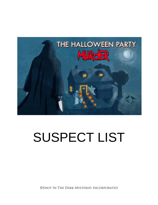

# SUSPECT LIST

©Shot In The Dark Mysteries Incorporated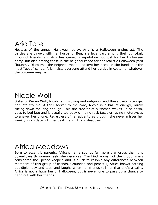# Aria Tate

Hostess of the annual Halloween party, Aria is a Halloween enthusiast. The parties she throws with her husband, Ben, are legendary among their tight-knit group of friends, and Aria has gained a reputation not just for her Halloween party, but also among those in the neighbourhood for her realistic Halloween yard "haunts". Of course, the neighbourhood kids love her because she hands out the most "good" candy. Aria insists everyone attend her parties in costume, whatever the costume may be.

#### Nicole Wolf

Sister of Kieran Wolf, Nicole is fun-loving and outgoing, and these traits often get her into trouble. A thrill-seeker to the core, Nicole is a ball of energy, rarely sitting down for long enough. This fire-cracker of a woman wakes up at dawn, goes to bed late and is usually too busy climbing rock faces or racing motorcycles to answer her phone. Regardless of her adventures though, she never misses her weekly lunch date with her best friend, Africa Meadows.

## Africa Meadows

Born to eccentric parents, Africa's name sounds far more glamorous than this down-to-earth woman feels she deserves. The kind woman of the group, she's considered the "peace-keeper" and is quick to resolve any differences between members of this group of friends. Grounded and peaceful, Africa knows nothing but diplomacy and tact, and laughs when her friends tell her that she's a saint. Africa is not a huge fan of Halloween, but is never one to pass up a chance to hang out with her friends.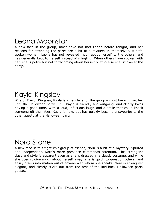#### Leona Moonstar

A new face in the group, most have not met Leona before tonight, and her reasons for attending the party are a bit of a mystery in themselves. A softspoken woman, Leona has not revealed much about herself to the others, and has generally kept to herself instead of mingling. When others have spoken with her, she is polite but not forthcoming about herself or who else she knows at the party.

## Kayla Kingsley

Wife of Trevor Kingsley, Kayla is a new face for the group – most haven't met her until the Halloween party. Still, Kayla is friendly and outgoing, and clearly loves having a good time. With a loud, infectious laugh and a smile that could knock someone off their feet, Kayla is new, but has quickly become a favourite to the other guests at the Halloween party.

#### Nora Stone

A new face in this tight-knit group of friends, Nora is a bit of a mystery. Spirited and independent, Nora's mere presence commands attention. This stranger's class and style is apparent even as she is dressed in a classic costume, and while she doesn't give much about herself away, she is quick to question others, and easily draws information out of anyone with whom she speaks. Nora is strong yet elegant, and clearly sticks out from the rest of the laid-back Halloween party guests.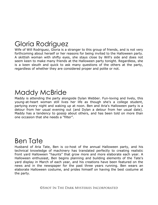# Gloria Rodriguez

Wife of Will Rodriguez, Gloria is a stranger to this group of friends, and is not very forthcoming about herself or her reasons for being invited to the Halloween party. A skittish woman with shifty eyes, she stays close by Will's side and does not seem keen to make many friends at the Halloween party tonight. Regardless, she is a keen sleuth and quick to ask many questions of the others at the party, regardless of whether they are considered proper and polite or not.

#### Maddy McBride

Maddy is attending the party alongside Dylan Webber. Fun-loving and lively, this young-at-heart woman still lives her life as though she's a college student, partying every night and waking up at noon. Ben and Aria's Halloween party is a detour from her usual evening out (and Dylan a detour from her usual date). Maddy has a tendency to gossip about others, and has been told on more than one occasion that she needs a "filter".

# Ben Tate

Husband of Aria Tate, Ben is co-host of the annual Halloween party, and his technical knowledge of machinery has translated perfectly to creating realistic front yard Halloween "haunts" that grow more and more elaborate each year. A Halloween enthusiast, Ben begins planning and building elements of the Tate's yard display in March of each year, and his creations have been featured on the news and in the newspaper for the past three years running. Ben wears an elaborate Halloween costume, and prides himself on having the best costume at the party.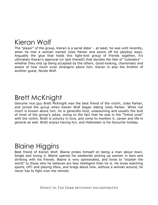## Kieran Wolf

The "player" of the group, Kieran is a serial dater – at least, he was until recently, when he met a woman named Jules Parker and swore off his playboy ways. Arguably the glue that holds this tight-knit group of friends together, it's ultimately Kieran's approval (or lack thereof) that decides the fate of "outsiders" whether they end up being accepted by the others. Good-looking, charismatic and aware of how much even strangers adore him, Kieran is also the brother of another guest, Nicole Wolf.

#### Brett McKnight

Genuine nice guy Brett McKnight was the best friend of the victim, Jules Parker, and joined the group when Kieran Wolf began dating Jules Parker. While not much is known about him, he is generally kind, unassuming and usually the butt of most of the group's jokes, owing to the fact that he was in the "friend zone" with the victim. Brett is unlucky in love, and come to mention it, career and life in general as well. Brett enjoys having fun, and Halloween is his favourite holiday.

### Blaine Higgins

Best friend of Kieran Wolf, Blaine prides himself on being a man about town. Single and loving it, Blaine spends his weekends picking up women in bars and drinking with his friends. Blaine is very opinionated, and loves to "explain the world" to those who he believes are less intelligent than he is. He loves watching sports, UFC and playing Xbox, and brags about how, without a woman around, he never has to fight over the remote.